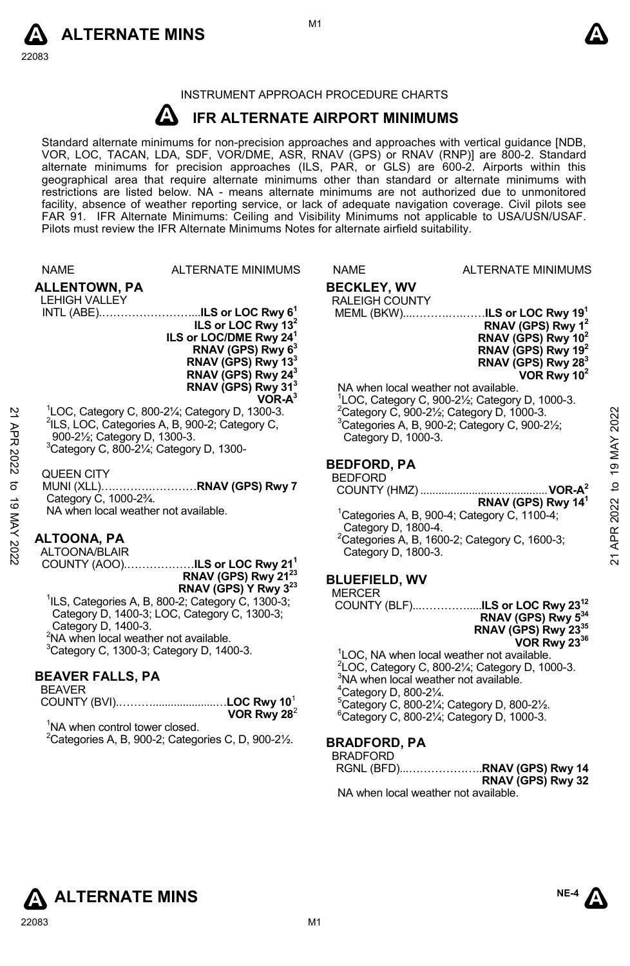



# INSTRUMENT APPROACH PROCEDURE CHARTS

#### $\boldsymbol{\mu}$  **IFR ALTERNATE AIRPORT MINIMUMS**

Standard alternate minimums for non-precision approaches and approaches with vertical guidance [NDB,<br>VOR, LOC, TACAN, LDA, SDF, VOR/DME, ASR, RNAV (GPS) or RNAV (RNP)] are 800-2. Standard alternate minimums for precision approaches (ILS, PAR, or GLS) are 600-2. Airports within this geographical area that require alternate minimums other than standard or alternate minimums with restrictions are listed below. NA - means alternate minimums are not authorized due to unmonitored facility, absence of weather reporting service, or lack of adequate navigation coverage. Civil pilots see FAR 91. IFR Alternate Minimums: Ceiling and Visibility Minimums not applicable to USA/USN/USAF. Pilots must review the IFR Alternate Minimums Notes for alternate airfield suitability.

| <b>NAME</b><br><b>ALLENTOWN, PA</b> | ALTERNATE MINIMUMS                                                                                                                                                                                                      | <b>NAME</b>                                                                                                                                                                                                                                                                                                                                                                                                                                                                                                                                                                                                                                                                                                                                                                                                                              | <b>ALTERNATE MINIMUMS</b>                                                                                                                   |                                                                                                                                                                                                                                                                                                                                                                                                                                                                                                                                                                                                                                                                                                                                                                                                                                                                                                                                                                                                                                              |
|-------------------------------------|-------------------------------------------------------------------------------------------------------------------------------------------------------------------------------------------------------------------------|------------------------------------------------------------------------------------------------------------------------------------------------------------------------------------------------------------------------------------------------------------------------------------------------------------------------------------------------------------------------------------------------------------------------------------------------------------------------------------------------------------------------------------------------------------------------------------------------------------------------------------------------------------------------------------------------------------------------------------------------------------------------------------------------------------------------------------------|---------------------------------------------------------------------------------------------------------------------------------------------|----------------------------------------------------------------------------------------------------------------------------------------------------------------------------------------------------------------------------------------------------------------------------------------------------------------------------------------------------------------------------------------------------------------------------------------------------------------------------------------------------------------------------------------------------------------------------------------------------------------------------------------------------------------------------------------------------------------------------------------------------------------------------------------------------------------------------------------------------------------------------------------------------------------------------------------------------------------------------------------------------------------------------------------------|
| <b>LEHIGH VALLEY</b>                | ILS or LOC Rwy 13 <sup>2</sup><br>ILS or LOC/DME Rwy 24 <sup>1</sup><br>RNAV (GPS) Rwy 6 <sup>3</sup><br>RNAV (GPS) Rwy 13 <sup>3</sup><br>RNAV (GPS) Rwy 24 <sup>3</sup><br>RNAV (GPS) Rwy 31 <sup>3</sup><br>$VOR-A3$ |                                                                                                                                                                                                                                                                                                                                                                                                                                                                                                                                                                                                                                                                                                                                                                                                                                          | RNAV (GPS) Rwy 1 <sup>2</sup><br>RNAV (GPS) Rwy 10 <sup>2</sup><br>RNAV (GPS) Rwy $192$<br>RNAV (GPS) Rwy 28 <sup>3</sup><br>VOR Rwy $10^2$ | 2022<br>19 MAY                                                                                                                                                                                                                                                                                                                                                                                                                                                                                                                                                                                                                                                                                                                                                                                                                                                                                                                                                                                                                               |
| Category C, 1000-23/4.              |                                                                                                                                                                                                                         | <b>BEDFORD</b>                                                                                                                                                                                                                                                                                                                                                                                                                                                                                                                                                                                                                                                                                                                                                                                                                           | RNAV (GPS) Rwy 14 <sup>1</sup>                                                                                                              | $\mathbf{c}$<br>2022                                                                                                                                                                                                                                                                                                                                                                                                                                                                                                                                                                                                                                                                                                                                                                                                                                                                                                                                                                                                                         |
| <b>ALTOONA, PA</b><br>ALTOONA/BLAIR | RNAV (GPS) Rwy 21 <sup>23</sup><br>RNAV (GPS) Y Rwy 3 <sup>23</sup>                                                                                                                                                     | <b>MERCER</b>                                                                                                                                                                                                                                                                                                                                                                                                                                                                                                                                                                                                                                                                                                                                                                                                                            |                                                                                                                                             | APR:<br>$\overline{2}$                                                                                                                                                                                                                                                                                                                                                                                                                                                                                                                                                                                                                                                                                                                                                                                                                                                                                                                                                                                                                       |
| Category D, 1400-3.                 |                                                                                                                                                                                                                         |                                                                                                                                                                                                                                                                                                                                                                                                                                                                                                                                                                                                                                                                                                                                                                                                                                          | RNAV (GPS) Rwy 5 <sup>34</sup><br>RNAV (GPS) Rwy 2335<br>VOR Rwy 23 <sup>36</sup>                                                           |                                                                                                                                                                                                                                                                                                                                                                                                                                                                                                                                                                                                                                                                                                                                                                                                                                                                                                                                                                                                                                              |
| <b>BEAVER</b>                       | VOR Rwy $28^2$                                                                                                                                                                                                          |                                                                                                                                                                                                                                                                                                                                                                                                                                                                                                                                                                                                                                                                                                                                                                                                                                          |                                                                                                                                             |                                                                                                                                                                                                                                                                                                                                                                                                                                                                                                                                                                                                                                                                                                                                                                                                                                                                                                                                                                                                                                              |
|                                     |                                                                                                                                                                                                                         | <b>BRADFORD</b>                                                                                                                                                                                                                                                                                                                                                                                                                                                                                                                                                                                                                                                                                                                                                                                                                          | RNAV (GPS) Rwy 32                                                                                                                           |                                                                                                                                                                                                                                                                                                                                                                                                                                                                                                                                                                                                                                                                                                                                                                                                                                                                                                                                                                                                                                              |
|                                     | QUEEN CITY                                                                                                                                                                                                              | INTL (ABE)ILS or LOC Rwy 6 <sup>1</sup><br>${}^{1}$ LOC, Category C, 800-2 $\frac{1}{4}$ ; Category D, 1300-3.<br><sup>2</sup> ILS, LOC, Categories A, B, 900-2; Category C,<br>900-21/ <sub>2</sub> ; Category D, 1300-3.<br><sup>3</sup> Category C, 800-21/ <sub>4</sub> ; Category D, 1300-<br>MUNI (XLL)RNAV (GPS) Rwy 7<br>NA when local weather not available.<br>COUNTY (AOO)ILS or LOC Rwy 21 <sup>1</sup><br>${}^{1}$ ILS, Categories A, B, 800-2; Category C, 1300-3;<br>Category D, 1400-3; LOC, Category C, 1300-3;<br><sup>2</sup> NA when local weather not available.<br><sup>3</sup> Category C, 1300-3; Category D, 1400-3.<br><b>BEAVER FALLS, PA</b><br>COUNTY (BVI)LOC Rwy 10 <sup>1</sup><br><sup>1</sup> NA when control tower closed.<br>${}^{2}$ Categories A, B, 900-2; Categories C, D, 900-2 $\frac{1}{2}$ . |                                                                                                                                             | <b>BECKLEY, WV</b><br><b>RALEIGH COUNTY</b><br>MEML (BKW)ILS or LOC Rwy 19 <sup>1</sup><br>NA when local weather not available.<br>${}^{1}$ LOC, Category C, 900-2 $\frac{1}{2}$ ; Category D, 1000-3.<br>$^{2}$ Category C, 900-2 $\frac{1}{2}$ ; Category D, 1000-3.<br>$3$ Categories A, B, 900-2; Category C, 900-2 $\frac{1}{2}$ ;<br>Category D, 1000-3.<br><b>BEDFORD, PA</b><br><sup>1</sup> Categories A, B, 900-4; Category C, 1100-4;<br>Category D, 1800-4.<br>$2$ Categories A, B, 1600-2; Category C, 1600-3;<br>Category D, 1800-3.<br><b>BLUEFIELD, WV</b><br><sup>1</sup> LOC, NA when local weather not available.<br>$2$ LOC, Category C, 800-2 $\frac{1}{4}$ ; Category D, 1000-3.<br><sup>3</sup> NA when local weather not available.<br>$4$ Category D, 800-2 $\frac{1}{4}$ .<br>${}^5$ Category C, 800-21/ <sub>4</sub> ; Category D, 800-21/2.<br><sup>6</sup> Category C, 800-21/ <sub>4</sub> ; Category D, 1000-3.<br><b>BRADFORD, PA</b><br>RGNL (BFD)RNAV (GPS) Rwy 14<br>NA when local weather not available. |



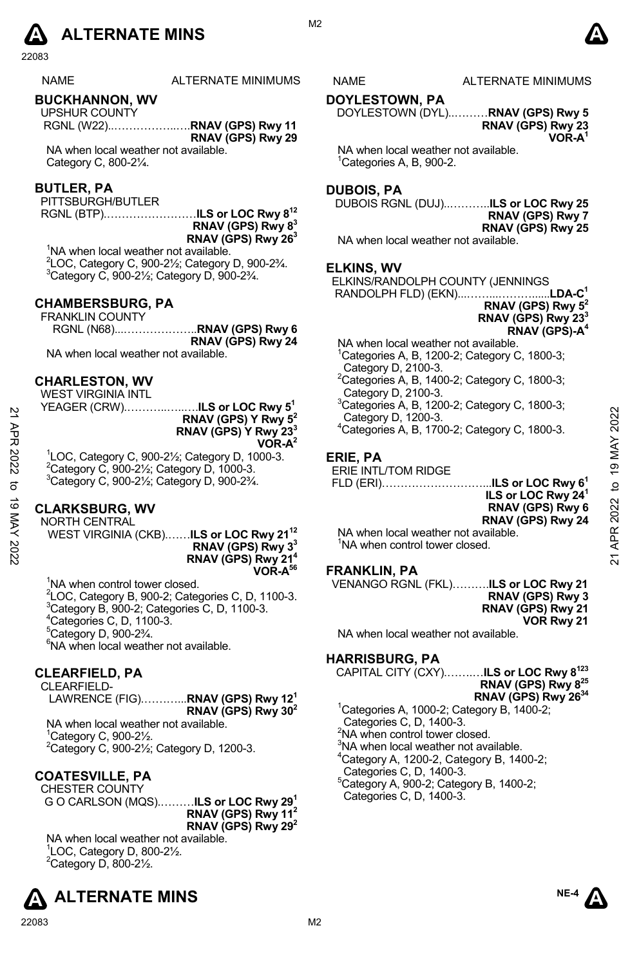

# **BUCKHANNON, WV**

UPSHUR COUNTY RGNL (W22)..……………..….**RNAV (GPS) Rwy 11 RNAV (GPS) Rwy 29**

NA when local weather not available. Category C, 800-2¼.

#### **BUTLER, PA**

PITTSBURGH/BUTLER

RGNL (BTP).……………………**ILS or LOC Rwy 812**

**RNAV (GPS) Rwy 83 RNAV (GPS) Rwy 263**

<sup>1</sup>NA when local weather not available.  $^{2}$ LOC, Category C, 900-21/<sub>2</sub>; Category D, 900-23/<sub>4</sub>.<br><sup>3</sup>Category C, 900, 31/; Category D, 900, 33/  ${}^{3}$ Category C, 900-21/<sub>2</sub>; Category D, 900-23/4.

# **CHAMBERSBURG, PA**

FRANKLIN COUNTY RGNL (N68)...………………..**RNAV (GPS) Rwy 6 RNAV (GPS) Rwy 24** 

NA when local weather not available.

#### **CHARLESTON, WV**

WEST VIRGINIA INTL YEAGER (CRW).………..…..….**ILS or LOC Rwy 51**

**RNAV (GPS) Y Rwy 52 RNAV (GPS) Y Rwy 233 VOR-A2**

 $1$ LOC, Category C, 900-2½; Category D, 1000-3. <sup>2</sup>Category C, 900-2½; Category D, 1000-3.<br><sup>3</sup>Category C, 900-2½; Category D, 900-2¾. 21 APR 2022 to 19 MAY 202221 APR 2022 to 19 MAY 2022

# **CLARKSBURG, WV**

NORTH CENTRAL

WEST VIRGINIA (CKB).……**ILS or LOC Rwy 2112 RNAV (GPS) Rwy 33 RNAV (GPS) Rwy 214 VOR-A56**

<sup>1</sup>NA when control tower closed.  $^{2}$ LOC, Category B, 900-2; Categories C, D, 1100-3.  $3$ Category B, 900-2; Categories C, D, 1100-3. Categories C, D, 1100-3. 5 Category D, 900-2¾. 6 NA when local weather not available.

# **CLEARFIELD, PA**

CLEARFIELD-

LAWRENCE (FIG).………...**RNAV (GPS) Rwy 121 RNAV (GPS) Rwy 302**  NA when local weather not available.

1 Category C, 900-2½.  $^{2}$ Category C, 900-2½; Category D, 1200-3.

# **COATESVILLE, PA**

CHESTER COUNTY G O CARLSON (MQS).………**ILS or LOC Rwy 291 RNAV (GPS) Rwy 112 RNAV (GPS) Rwy 292** 

NA when local weather not available. 1 LOC, Category D, 800-2½.  $2$ Category D, 800-2 $\frac{1}{2}$ .



S NAME ALTERNATE MINIMUMS

# **DOYLESTOWN, PA**

DOYLESTOWN (DYL)..………**RNAV (GPS) Rwy 5 RNAV (GPS) Rwy 23 VOR-A1** 

NA when local weather not available. <sup>1</sup>Categories A, B, 900-2.

# **DUBOIS, PA**

DUBOIS RGNL (DUJ)..………..**ILS or LOC Rwy 25** 

**RNAV (GPS) Rwy 7 RNAV (GPS) Rwy 25**

NA when local weather not available.

#### **ELKINS, WV**

ELKINS/RANDOLPH COUNTY (JENNINGS RANDOLPH FLD) (EKN)...……...………......**LDA-C1**

- **RNAV (GPS) Rwy 52 RNAV (GPS) Rwy 233 RNAV (GPS)-A4**
- NA when local weather not available. 1 Categories A, B, 1200-2; Category C, 1800-3; Category D, 2100-3. 2 Categories A, B, 1400-2; Category C, 1800-3; Category D, 2100-3. 3 Categories A, B, 1200-2; Category C, 1800-3; Category D, 1200-3.

4 Categories A, B, 1700-2; Category C, 1800-3.

# **ERIE, PA**

ERIE INTL/TOM RIDGE

FLD (ERI)………………………...**ILS or LOC Rwy 61 ILS or LOC Rwy 241 RNAV (GPS) Rwy 6 RNAV (GPS) Rwy 24**

NA when local weather not available. <sup>1</sup>NA when control tower closed.

# **FRANKLIN, PA**

VENANGO RGNL (FKL)……….**ILS or LOC Rwy 21 RNAV (GPS) Rwy 3 RNAV (GPS) Rwy 21 VOR Rwy 21** 

NA when local weather not available.

# **HARRISBURG, PA**

CAPITAL CITY (CXY).…….…**ILS or LOC Rwy 8123 RNAV (GPS) Rwy 825 RNAV (GPS) Rwy 2634**

- <sup>1</sup>Categories A, 1000-2; Category B, 1400́-2;<br><sub>-</sub> Categories C, D, 1400-3.
- <sup>2</sup>NA when control tower closed.
- <sup>3</sup>NA when local weather not available.
- 4 Category A, 1200-2, Category B, 1400-2;
- Categories C, D, 1400-3.
- 5 Category A, 900-2; Category B, 1400-2; Categories C, D, 1400-3.

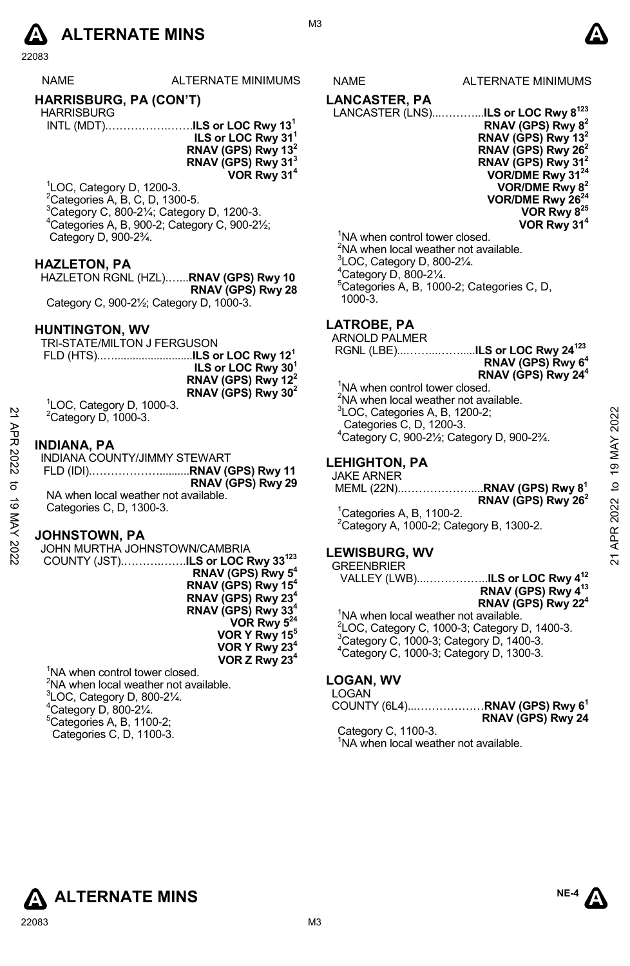

| <b>NAME</b>                                 | ALTERNATE MINIMUM |  |
|---------------------------------------------|-------------------|--|
| HARRISBURG, PA (CON'T)<br><b>HARRISBURG</b> |                   |  |

- INTL (MDT).…………….…….**ILS or LOC Rwy 131 ILS or LOC Rwy 311 RNAV (GPS) Rwy 132 RNAV (GPS) Rwy 313** 
	- **VOR Rwy 314**
- $^{1}$ LOC, Category D, 1200-3.  ${}^{2}$ Categories A, B, C, D, 1300-5. 3 Category C, 800-2¼; Category D, 1200-3. 4  $^{4}$ Categories A, B, 900-2; Category C, 900-2 $\frac{1}{2}$ ; Category D, 900-2¾.

#### **HAZLETON, PA**

HAZLETON RGNL (HZL).…...**RNAV (GPS) Rwy 10 RNAV (GPS) Rwy 28** Category C, 900-2½; Category D, 1000-3.

### **HUNTINGTON, WV**

TRI-STATE/MILTON J FERGUSON FLD (HTS)..…..........................**ILS or LOC Rwy 121 ILS or LOC Rwy 301 RNAV (GPS) Rwy 122 RNAV (GPS) Rwy 302** 

<sup>1</sup>LOC, Category D, 1000-3.  $2$ Category D, 1000-3.

#### **INDIANA, PA**

INDIANA COUNTY/JIMMY STEWART FLD (IDI).………………..........**RNAV (GPS) Rwy 11 RNAV (GPS) Rwy 29** NA when local weather not available. Categories C, D, 1300-3.  $\frac{22}{10}$ <br>  $\frac{22}{10}$ <br>  $\frac{22}{10}$ <br>  $\frac{22}{10}$ <br>  $\frac{22}{10}$ <br>  $\frac{22}{10}$ <br>  $\frac{22}{10}$ <br>  $\frac{22}{10}$ <br>  $\frac{22}{10}$ <br>  $\frac{22}{10}$ <br>  $\frac{22}{10}$ <br>  $\frac{22}{10}$ <br>  $\frac{22}{10}$ <br>  $\frac{22}{10}$ <br>  $\frac{22}{10}$ <br>  $\frac{22}{10}$ <br>  $\frac{22}{10}$ <br>

#### **JOHNSTOWN, PA**

JOHN MURTHA JOHNSTOWN/CAMBRIA COUNTY (JST).……….…….**ILS or LOC Rwy 33123 RNAV (GPS) Rwy 54 RNAV (GPS) Rwy 154 RNAV (GPS) Rwy 234 RNAV (GPS) Rwy 334 VOR Rwy 524 VOR Y Rwy 155 VOR Y Rwy 234 VOR Z Rwy 234** <sup>1</sup>NA when control tower closed.  $2$ NA when local weather not available.

LOC, Category D, 800-2 $\frac{1}{4}$ . Category D, 800-2 $\frac{1}{4}$ . Categories A, B, 1100-2; Categories C, D, 1100-3.

**IS NAME ALTERNATE MINIMUMS** 

# **LANCASTER, PA**

LANCASTER (LNS)...………...**ILS or LOC Rwy 8123 RNAV (GPS) Rwy 82 RNAV (GPS) Rwy 132 RNAV (GPS) Rwy 262**

**RNAV (GPS) Rwy 312 VOR/DME Rwy 3124 VOR/DME Rwy 82 VOR/DME Rwy 2624 VOR Rwy 825 VOR Rwy 314** 

<sup>1</sup>NA when control tower closed.  $2$ NA when local weather not available.  ${}^{3}$ LOC, Category D, 800-2 $\frac{1}{4}$ . 4 Category D, 800-2¼. 5 Categories A, B, 1000-2; Categories C, D, 1000-3.

# **LATROBE, PA**

ARNOLD PALMER

 RGNL (LBE)...……...…….....**ILS or LOC Rwy 24123 RNAV (GPS) Rwy 64 RNAV (GPS) Rwy 244** 

<sup>1</sup>NA when control tower closed. <sup>2</sup>NA when local weather not available.  ${}^{3}$ LOC, Categories A, B, 1200-2; Categories C, D, 1200-3. 4 Category C, 900-2½; Category D, 900-2¾.

# **LEHIGHTON, PA**

JAKE ARNER MEML (22N)..………………....**RNAV (GPS) Rwy 81 RNAV (GPS) Rwy 262** 

 $1$ <sup>1</sup>Categories A, B, 1100-2. 2 Category A, 1000-2; Category B, 1300-2.

# **LEWISBURG, WV**

GREENBRIER VALLEY (LWB)...……………..**ILS or LOC Rwy 412 RNAV (GPS) Rwy 413 RNAV (GPS) Rwy 224**  <sup>1</sup>NA when local weather not available.  $2<sup>2</sup>$ LOC, Category C, 1000-3; Category D, 1400-3. 3 Category C, 1000-3; Category D, 1400-3. 4 Category C, 1000-3; Category D, 1300-3.

## **LOGAN, WV**

LOGAN

COUNTY (6L4)...………………**RNAV (GPS) Rwy 61 RNAV (GPS) Rwy 24**

Category C, 1100-3. <sup>1</sup>NA when local weather not available.







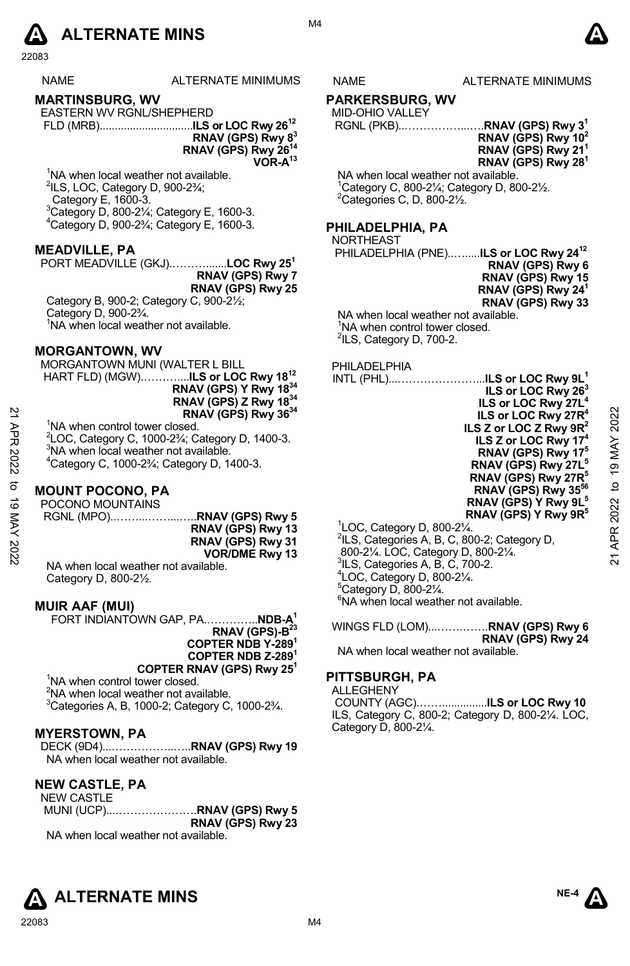

#### NAME ALTERNATE MINIMUMS NAME ALTERNATE MINIMUMS

# **MARTINSBURG, WV**

EASTERN WV RGNL/SHEPHERD FLD (MRB)...............................**ILS or LOC Rwy 2612 RNAV (GPS) Rwy 83**

**RNAV (GPS) Rwy 2614 VOR-A13**

<sup>1</sup>NA when local weather not available.

ILS, LOC, Category D, 900-2 $\frac{3}{4}$ ; Category E, 1600-3. Category D, 800-2 $\frac{1}{4}$ ; Category E, 1600-3. Category D, 900-2¾; Category E, 1600-3.

#### **MEADVILLE, PA**

PORT MEADVILLE (GKJ).……….......**LOC Rwy 251 RNAV (GPS) Rwy 7 RNAV (GPS) Rwy 25** 

Category B, 900-2; Category C, 900-2½; Category D, 900-2¾. <sup>1</sup>NA when local weather not available.

#### **MORGANTOWN, WV**

MORGANTOWN MUNI (WALTER L BILL HART FLD) (MGW).………....**ILS or LOC Rwy 1812 RNAV (GPS) Y Rwy 1834 RNAV (GPS) Z Rwy 1834 RNAV (GPS) Rwy 3634** <sup>1</sup>NA when control tower closed.

 $^{2}$ LOC, Category C, 1000-2<sup>3</sup> $/$ ; Category D, 1400-3.  $3$ NA when local weather not available. 4 Category C, 1000-2¾; Category D, 1400-3.

# **MOUNT POCONO, PA**

POCONO MOUNTAINS

| RNAV (GPS) Rwy 13     |  |
|-----------------------|--|
| RNAV (GPS) Rwy 31     |  |
| <b>VOR/DME Rwy 13</b> |  |

NA when local weather not available. Category D, 800-2½.

#### **MUIR AAF (MUI)**

FORT INDIANTOWN GAP, PA.…………..**NDB-A1** 

**RNAV (GPS)-B<sup>23</sup> COPTER NDB Y-2891 COPTER NDB Z-2891 COPTER RNAV (GPS) Rwy 251** 

<sup>1</sup>NA when control tower closed. <sup>2</sup>NA when local weather not available. 3 Categories A, B, 1000-2; Category C, 1000-2¾.

#### **MYERSTOWN, PA**

DECK (9D4)...……………..…..**RNAV (GPS) Rwy 19**  NA when local weather not available.

# **NEW CASTLE, PA**

NEW CASTLE MUNI (UCP)...………………….**RNAV (GPS) Rwy 5 RNAV (GPS) Rwy 23**  NA when local weather not available



M4

#### **PARKERSBURG, WV**

MID-OHIO VALLEY

 RGNL (PKB)..……………...….**RNAV (GPS) Rwy 31 RNAV (GPS) Rwy 102 RNAV (GPS) Rwy 211 RNAV (GPS) Rwy 281** 

NA when local weather not available. 1 Category C, 800-2¼; Category D, 800-2½. 2 Categories C, D, 800-2½.

#### **PHILADELPHIA, PA**

NORTHEAST

 PHILADELPHIA (PNE)..….....**ILS or LOC Rwy 2412 RNAV (GPS) Rwy 6 RNAV (GPS) Rwy 15 RNAV (GPS) Rwy 241 RNAV (GPS) Rwy 33** 

NA when local weather not available. <sup>1</sup>NA when control tower closed.  $2$ ILS, Category D, 700-2.

PHILADELPHIA

INTL (PHL)...…………………...**ILS or LOC Rwy 9L1 ILS or LOC Rwy 263 ILS or LOC Rwy 27L4 ILS or LOC Rwy 27R4 ILS Z or LOC Z Rwy 9R2 ILS Z or LOC Rwy 17<sup>4</sup> RNAV (GPS) Rwy 175 RNAV (GPS) Rwy 27L5 RNAV (GPS) Rwy 27R5 RNAV (GPS) Rwy 3556 RNAV (GPS) Y Rwy 9L5 RNAV (GPS) Y Rwy 9R5**  1 LOC, Category D, 800-2¼. <sup>2</sup>ILS, Categories A, B, C, 800-2; Category D, **EXAMPLE CONDUST APP 2022**<br>
<sup>21</sup> AM when control tower closed.<br>
<sup>21</sup> APP <sup>2</sup> LLS or LOC Rwy 27R<sup>4</sup><br>
<sup>21</sup> AM when local weather not available.<br>
<sup>2</sup> AM when local weather not available.<br>
<sup>2</sup> AM When local weather not availa

 800-2¼. LOC, Category D, 800-2¼. ILS, Categories A, B, C, 700-2. LOC, Category D, 800-2¼. Category D, 800-2 $\frac{1}{4}$ . NA when local weather not available.

WINGS FLD (LOM)...…….…….**RNAV (GPS) Rwy 6 RNAV (GPS) Rwy 24** 

NA when local weather not available.

#### **PITTSBURGH, PA**

ALLEGHENY COUNTY (AGC).……...............**ILS or LOC Rwy 10**  ILS, Category C, 800-2; Category D, 800-2¼. LOC, Category D, 800-2¼.



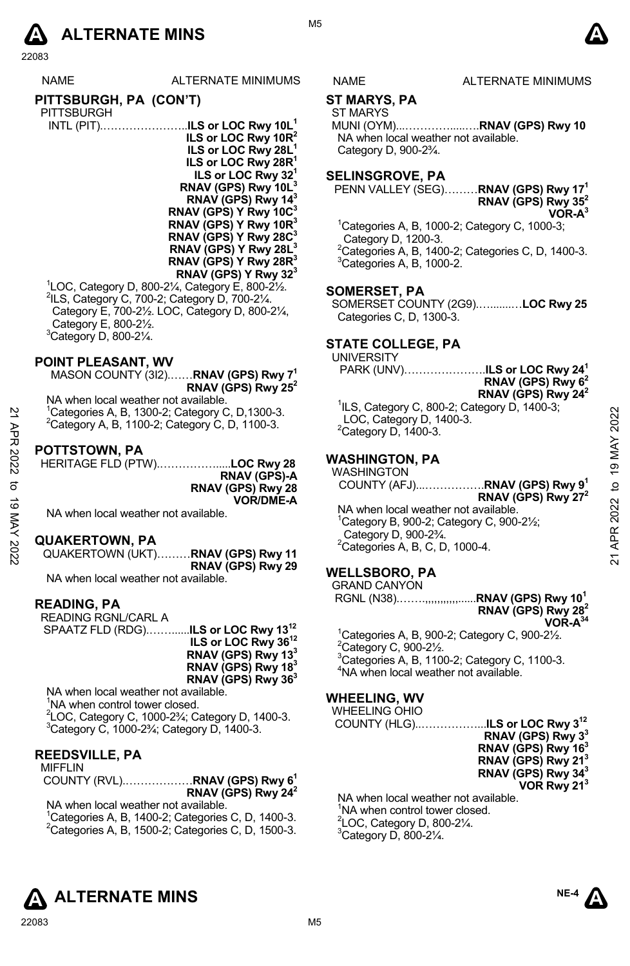# **A** ALTERNATE MINS  $\bullet$

22083

NAME ALTERNATE MINIMUMS NAME ALTERNATE MINIMUMS

# **PITTSBURGH, PA (CON'T)**

PITTSBURGH INTL (PIT).…………………..**ILS or LOC Rwy 10L1 ILS or LOC Rwy 10R2 ILS or LOC Rwy 28L1 ILS or LOC Rwy 28R ILS or LOC Rwy 32<sup>1</sup> RNAV (GPS) Rwy 10L3 RNAV (GPS) Rwy 143 RNAV (GPS) Y Rwy 10C3 RNAV (GPS) Y Rwy 10R3 RNAV (GPS) Y Rwy 28C3 RNAV (GPS) Y Rwy 28L3 RNAV (GPS) Y Rwy 28R3 RNAV (GPS) Y Rwy 323**

<sup>1</sup>LOC, Category D, 800-21⁄4, Category E, 800-21⁄2.<br><sup>2</sup>ll S, Category C, 700.2: Category D, 700, 21⁄2. <sup>2</sup>ILS, Category C, 700-2; Category D, 700-21/4. Category E, 700-2½. LOC, Category D, 800-2¼, Category E, 800-2½.  $3$ Category D, 800-2 $\frac{1}{4}$ .

#### **POINT PLEASANT, WV**

MASON COUNTY (3I2).……**RNAV (GPS) Rwy 71 RNAV (GPS) Rwy 252** NA when local weather not available.

<sup>1</sup> Categories A, B, 1300-2; Category C, D, 1300-3.<br><sup>2</sup> Category A, B, 1100-2; Category C, D, 1100-2. <sup>2</sup>Category A, B, 1100-2; Category C, D, 1100-3.

#### **POTTSTOWN, PA**

| <b>HERITAGE FLD (PTW)LOC Rwy 28</b> |  |
|-------------------------------------|--|
| <b>RNAV (GPS)-A</b>                 |  |
| RNAV (GPS) Rwy 28                   |  |
| <b>VOR/DME-A</b>                    |  |
|                                     |  |

#### **QUAKERTOWN, PA**

QUAKERTOWN (UKT)………**RNAV (GPS) Rwy 11 RNAV (GPS) Rwy 29** 

NA when local weather not available.

#### **READING, PA**

| READING RGNL/CARL A                                             |                                 |
|-----------------------------------------------------------------|---------------------------------|
| SPAATZ FLD (RDG)ILS or LOC Rwy 13 <sup>12</sup>                 |                                 |
|                                                                 | ILS or LOC Rwy 36 <sup>12</sup> |
|                                                                 | RNAV (GPS) Rwy 13 <sup>3</sup>  |
|                                                                 | RNAV (GPS) Rwy 18 <sup>3</sup>  |
|                                                                 | RNAV (GPS) Rwy 36 <sup>3</sup>  |
| NTA code e activo e di concentra a constituitat e international |                                 |

NA when local weather not available. <sup>1</sup>NA when control tower closed. <sup>2</sup>LOC, Category C, 1000-2<sup>3</sup>/<sub>4</sub>; Category D, 1400-3. Category C, 1000-2¾; Category D, 1400-3.

# **REEDSVILLE, PA**

**MIFFI IN** 

COUNTY (RVL).………………**RNAV (GPS) Rwy 61 RNAV (GPS) Rwy 242** 

NA when local weather not available.  $^{1}$ Categories A, B, 1400-2; Categories C, D, 1400-3. <sup>2</sup>Categories A, B, 1500-2; Categories C, D, 1500-3.

# **ST MARYS, PA**

ST MARYS MUNI (OYM)...………….....….**RNAV (GPS) Rwy 10**  NA when local weather not available. Category D, 900-2¾.

# **SELINSGROVE, PA**

PENN VALLEY (SEG)………**RNAV (GPS) Rwy 171** 

#### **RNAV (GPS) Rwy 352 VOR-A3**

1 Categories A, B, 1000-2; Category C, 1000-3; Category D, 1200-3.  $^{2}$ Categories A, B, 1400-2; Categories C, D, 1400-3.  ${}^{3}$ Categories A, B, 1000-2.

#### **SOMERSET, PA**

SOMERSET COUNTY (2G9).….......…**LOC Rwy 25** Categories C, D, 1300-3.

# **STATE COLLEGE, PA**

UNIVERSITY

PARK (UNV)………………….**ILS or LOC Rwy 241 RNAV (GPS) Rwy 62 RNAV (GPS) Rwy 242** 

1 ILS, Category C, 800-2; Category D, 1400-3; LOC, Category D, 1400-3.  $2$ Category D, 1400-3.

# **WASHINGTON, PA**

| 2<br>APR | <sup>1</sup> Categories A, B, 1300-2; Category C, D, 1300-3.<br><sup>2</sup> Category A, B, 1100-2; Category C, D, 1100-3. | $ICO, CaECJO, O. OO-2, CaECJO, O. HOO-3,$<br>LOC, Category D, 1400-3.<br>$2$ Category D, 1400-3. | $\sim$<br>202 |
|----------|----------------------------------------------------------------------------------------------------------------------------|--------------------------------------------------------------------------------------------------|---------------|
|          | <b>POTTSTOWN, PA</b>                                                                                                       |                                                                                                  |               |
| 2022     | HERITAGE FLD (PTW)LOC Rwy 28                                                                                               | <b>WASHINGTON, PA</b>                                                                            | ග             |
|          | <b>RNAV (GPS)-A</b>                                                                                                        | <b>WASHINGTON</b>                                                                                |               |
|          | RNAV (GPS) Rwy 28                                                                                                          | COUNTY (AFJ)RNAV (GPS) Rwy 9 <sup>1</sup>                                                        | $\mathsf{D}$  |
| ಠ        | <b>VOR/DME-A</b>                                                                                                           | RNAV (GPS) Rwy 27 <sup>2</sup>                                                                   |               |
|          | NA when local weather not available.                                                                                       | NA when local weather not available.                                                             | 2022          |
| ⋚        |                                                                                                                            | $^1$ Category B, 900-2; Category C, 900-2 $\frac{1}{2}$ ;                                        |               |
| 2022     | <b>QUAKERTOWN, PA</b><br>QUAKERTOWN (UKT)RNAV (GPS) Rwy 11                                                                 | Category D, 900-23/4.<br>${}^2$ Categories A, B, C, D, 1000-4.                                   | œ             |
|          | <b>DUIAU (ODO) D 00</b>                                                                                                    |                                                                                                  | ಸ             |

# **WELLSBORO, PA**

GRAND CANYON RGNL (N38).…….,,,,,,,,,,,......**RNAV (GPS) Rwy 101** 

**RNAV (GPS) Rwy 282 VOR-A34** 

 $^{1}$ Categories A, B, 900-2; Category C, 900-2 $\frac{1}{2}$ Category C, 900-2 $\frac{1}{2}$ Category C, 900-2 $\frac{1}{2}$ . Categories A, B, 1100-2; Category C, 1100-3. NA when local weather not available.

# **WHEELING, WV**

WHEELING OHIO

 COUNTY (HLG)..……………...**ILS or LOC Rwy 312 RNAV (GPS) Rwy 33 RNAV (GPS) Rwy 163 RNAV (GPS) Rwy 213 RNAV (GPS) Rwy 343 VOR Rwy 213** 

NA when local weather not available. <sup>1</sup>NA when control tower closed.  $2$ LOC, Category D, 800-2 $\frac{1}{4}$ .  $3$ Category D, 800-2 $\frac{1}{4}$ .